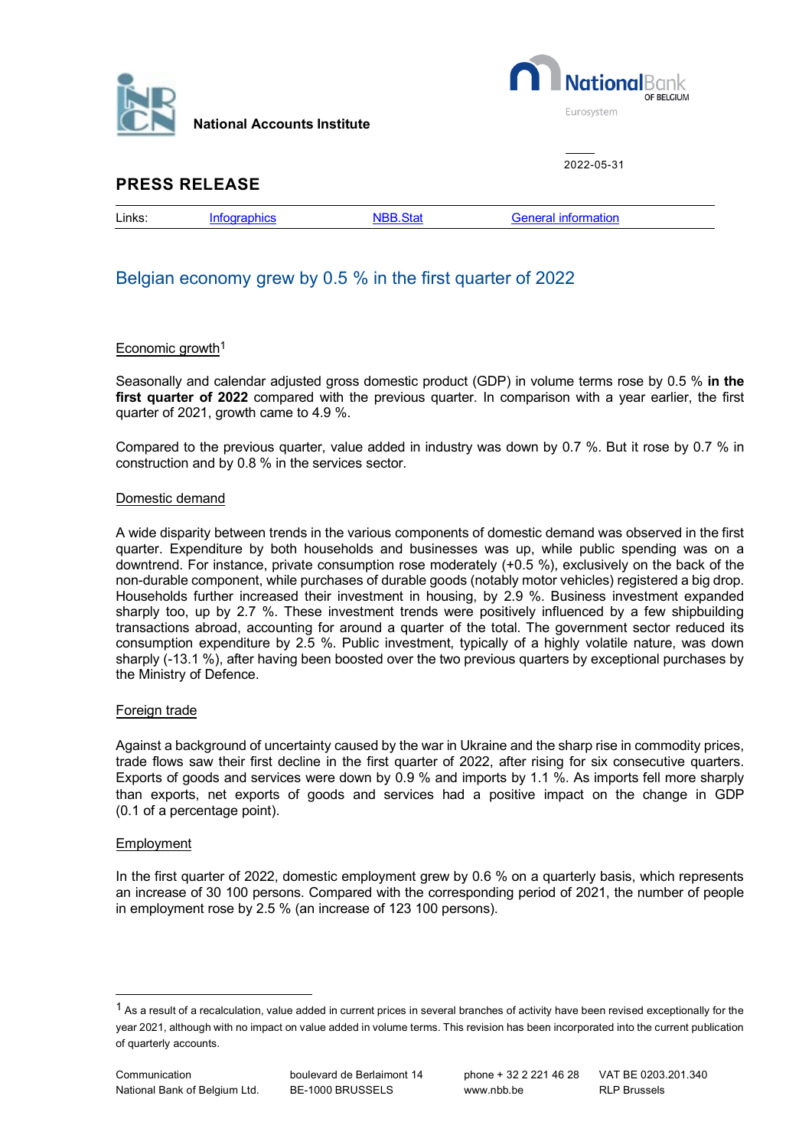

**National Accounts Institute**



2022-05-31

## **PRESS RELEASE**

| . .<br>Links:<br>. |  |  |  |  |
|--------------------|--|--|--|--|
|--------------------|--|--|--|--|

# Belgian economy grew by 0.5 % in the first quarter of 2022

### Economic growth<sup>[1](#page-0-0)</sup>

Seasonally and calendar adjusted gross domestic product (GDP) in volume terms rose by 0.5 % **in the first quarter of 2022** compared with the previous quarter. In comparison with a year earlier, the first quarter of 2021, growth came to 4.9 %.

Compared to the previous quarter, value added in industry was down by 0.7 %. But it rose by 0.7 % in construction and by 0.8 % in the services sector.

### Domestic demand

A wide disparity between trends in the various components of domestic demand was observed in the first quarter. Expenditure by both households and businesses was up, while public spending was on a downtrend. For instance, private consumption rose moderately (+0.5 %), exclusively on the back of the non-durable component, while purchases of durable goods (notably motor vehicles) registered a big drop. Households further increased their investment in housing, by 2.9 %. Business investment expanded sharply too, up by 2.7 %. These investment trends were positively influenced by a few shipbuilding transactions abroad, accounting for around a quarter of the total. The government sector reduced its consumption expenditure by 2.5 %. Public investment, typically of a highly volatile nature, was down sharply (-13.1 %), after having been boosted over the two previous quarters by exceptional purchases by the Ministry of Defence.

### Foreign trade

Against a background of uncertainty caused by the war in Ukraine and the sharp rise in commodity prices, trade flows saw their first decline in the first quarter of 2022, after rising for six consecutive quarters. Exports of goods and services were down by 0.9 % and imports by 1.1 %. As imports fell more sharply than exports, net exports of goods and services had a positive impact on the change in GDP (0.1 of a percentage point).

#### Employment

In the first quarter of 2022, domestic employment grew by 0.6 % on a quarterly basis, which represents an increase of 30 100 persons. Compared with the corresponding period of 2021, the number of people in employment rose by 2.5 % (an increase of 123 100 persons).

<span id="page-0-0"></span> $1$  As a result of a recalculation, value added in current prices in several branches of activity have been revised exceptionally for the year 2021, although with no impact on value added in volume terms. This revision has been incorporated into the current publication of quarterly accounts.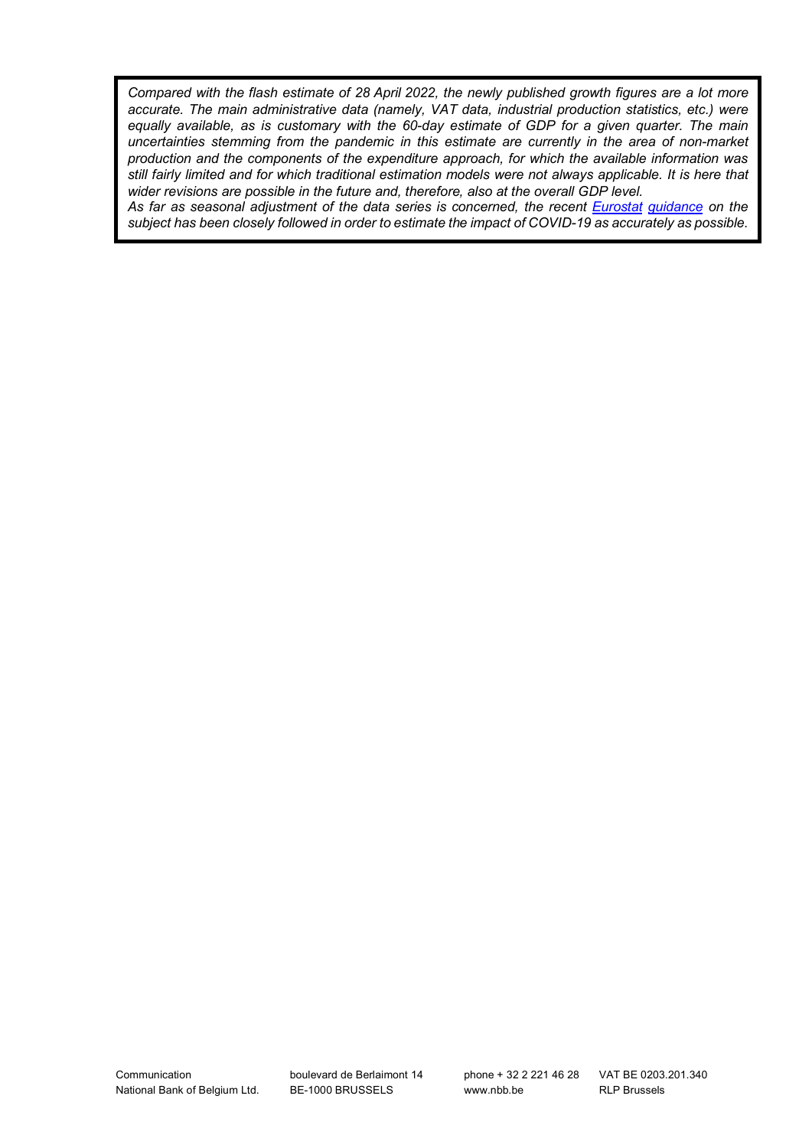*Compared with the flash estimate of 28 April 2022, the newly published growth figures are a lot more accurate. The main administrative data (namely, VAT data, industrial production statistics, etc.) were equally available, as is customary with the 60-day estimate of GDP for a given quarter. The main uncertainties stemming from the pandemic in this estimate are currently in the area of non-market production and the components of the expenditure approach, for which the available information was still fairly limited and for which traditional estimation models were not always applicable. It is here that wider revisions are possible in the future and, therefore, also at the overall GDP level.* 

*As far as seasonal adjustment of the data series is concerned, the recent [Eurostat](https://ec.europa.eu/eurostat/documents/10186/10693286/Time_series_treatment_guidance.pdf) guidance on the subject has been closely followed in order to estimate the impact of COVID-19 as accurately as possible.*

boulevard de Berlaimont 14 BE-1000 BRUSSELS

RLP Brussels